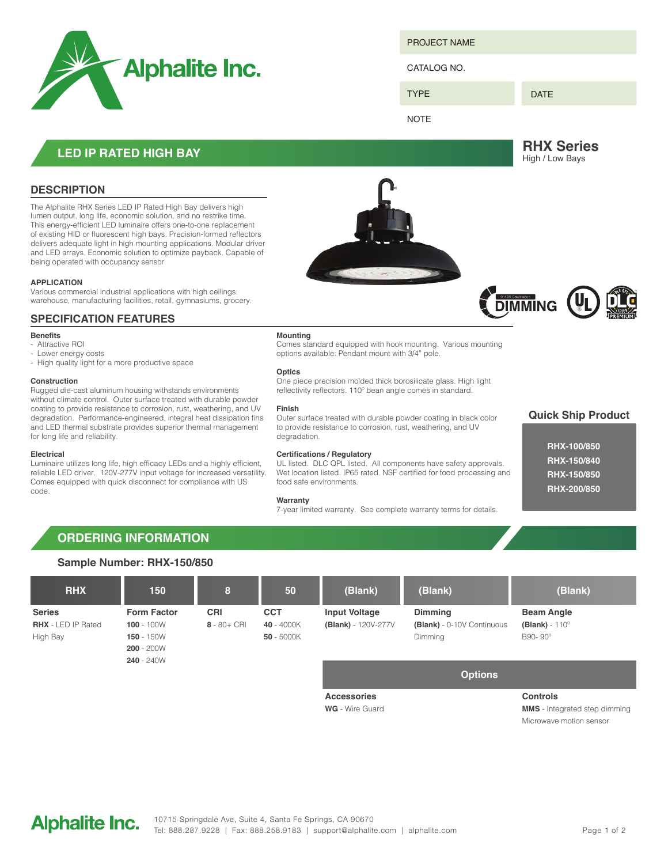

PROJECT NAME

#### CATALOG NO.

TYPE

### DATE

**NOTE** 

**RHX Series** High / Low Bays

### **LED IP RATED HIGH BAY**

### **DESCRIPTION**

The Alphalite RHX Series LED IP Rated High Bay delivers high lumen output, long life, economic solution, and no restrike time. This energy-efficient LED luminaire offers one-to-one replacement of existing HID or fluorescent high bays. Precision-formed reflectors delivers adequate light in high mounting applications. Modular driver and LED arrays. Economic solution to optimize payback. Capable of being operated with occupancy sensor

#### **APPLICATION**

Various commercial industrial applications with high ceilings: warehouse, manufacturing facilities, retail, gymnasiums, grocery.

### **SPECIFICATION FEATURES**

### **Benefits**

- Attractive ROI
- Lower energy costs
- High quality light for a more productive space

#### **Construction**

Rugged die-cast aluminum housing withstands environments without climate control. Outer surface treated with durable powder coating to provide resistance to corrosion, rust, weathering, and UV degradation. Performance-engineered, integral heat dissipation fins and LED thermal substrate provides superior thermal management for long life and reliability.

#### **Electrical**

Luminaire utilizes long life, high efficacy LEDs and a highly efficient, reliable LED driver. 120V-277V input voltage for increased versatility. Comes equipped with quick disconnect for compliance with US code.



#### **Mounting**

Comes standard equipped with hook mounting. Various mounting options available: Pendant mount with 3/4" pole.

#### **Optics**

One piece precision molded thick borosilicate glass. High light reflectivity reflectors. 110º bean angle comes in standard.

#### **Finish**

Outer surface treated with durable powder coating in black color to provide resistance to corrosion, rust, weathering, and UV degradation

#### **Certifications / Regulatory**

UL listed. DLC QPL listed. All components have safety approvals. Wet location listed. IP65 rated. NSF certified for food processing and food safe environments.

#### **Warranty**

7-year limited warranty. See complete warranty terms for details.

### **Quick Ship Product**

| <b>RHX-100/850</b> |
|--------------------|
| <b>RHX-150/840</b> |
| <b>RHX-150/850</b> |
| <b>RHX-200/850</b> |

### **ORDERING INFORMATION**

### **Sample Number: RHX-150/850**

| <b>RHX</b>                                             | 150                                                                | 8                            | 50                                       | (Blank)                                     | (Blank)                                                        | (Blank)                                               |
|--------------------------------------------------------|--------------------------------------------------------------------|------------------------------|------------------------------------------|---------------------------------------------|----------------------------------------------------------------|-------------------------------------------------------|
| <b>Series</b><br><b>RHX</b> - LED IP Rated<br>High Bay | <b>Form Factor</b><br>$100 - 100W$<br>$150 - 150W$<br>$200 - 200W$ | <b>CRI</b><br>$8 - 80 + CRI$ | <b>CCT</b><br>40 - 4000K<br>$50 - 5000K$ | <b>Input Voltage</b><br>(Blank) - 120V-277V | <b>Dimming</b><br>(Blank) - 0-10V Continuous<br><b>Dimming</b> | <b>Beam Angle</b><br>(Blank) - $110^\circ$<br>B90-90° |
|                                                        | $240 - 240W$                                                       |                              |                                          | <b>Accessories</b>                          | <b>Options</b>                                                 | <b>Controls</b>                                       |

**WG** - Wire Guard

**Controls**

**MMS** - Integrated step dimming Microwave motion sensor

Alphalite Inc. 10715 Springdale Ave, Suite 4, Santa Fe Springs, CA 90670 Tel: 888.287.9228 | Fax: 888.258.9183 | support@alphalite.com | alphalite.com